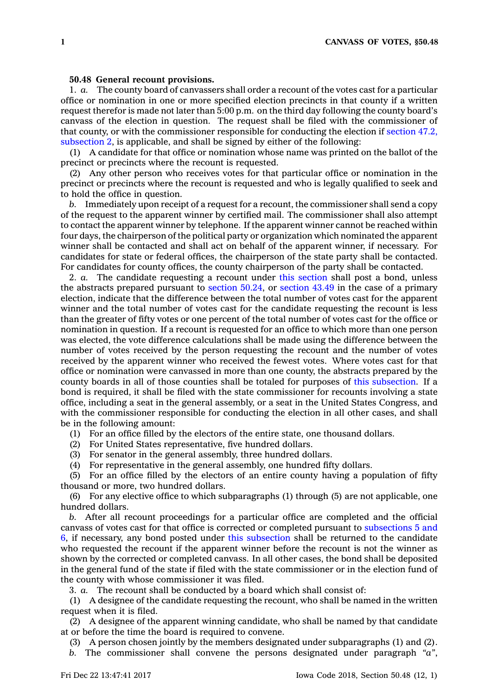## **50.48 General recount provisions.**

1. *a.* The county board of canvassers shall order <sup>a</sup> recount of the votes cast for <sup>a</sup> particular office or nomination in one or more specified election precincts in that county if <sup>a</sup> written request therefor is made not later than 5:00 p.m. on the third day following the county board's canvass of the election in question. The request shall be filed with the commissioner of that county, or with the commissioner responsible for conducting the election if [section](https://www.legis.iowa.gov/docs/code/47.2.pdf) 47.2, [subsection](https://www.legis.iowa.gov/docs/code/47.2.pdf) 2, is applicable, and shall be signed by either of the following:

(1) A candidate for that office or nomination whose name was printed on the ballot of the precinct or precincts where the recount is requested.

(2) Any other person who receives votes for that particular office or nomination in the precinct or precincts where the recount is requested and who is legally qualified to seek and to hold the office in question.

*b.* Immediately upon receipt of <sup>a</sup> request for <sup>a</sup> recount, the commissioner shall send <sup>a</sup> copy of the request to the apparent winner by certified mail. The commissioner shall also attempt to contact the apparent winner by telephone. If the apparent winner cannot be reached within four days, the chairperson of the political party or organization which nominated the apparent winner shall be contacted and shall act on behalf of the apparent winner, if necessary. For candidates for state or federal offices, the chairperson of the state party shall be contacted. For candidates for county offices, the county chairperson of the party shall be contacted.

2. *a.* The candidate requesting <sup>a</sup> recount under this [section](https://www.legis.iowa.gov/docs/code/50.48.pdf) shall post <sup>a</sup> bond, unless the abstracts prepared pursuant to [section](https://www.legis.iowa.gov/docs/code/50.24.pdf) 50.24, or [section](https://www.legis.iowa.gov/docs/code/43.49.pdf) 43.49 in the case of <sup>a</sup> primary election, indicate that the difference between the total number of votes cast for the apparent winner and the total number of votes cast for the candidate requesting the recount is less than the greater of fifty votes or one percent of the total number of votes cast for the office or nomination in question. If <sup>a</sup> recount is requested for an office to which more than one person was elected, the vote difference calculations shall be made using the difference between the number of votes received by the person requesting the recount and the number of votes received by the apparent winner who received the fewest votes. Where votes cast for that office or nomination were canvassed in more than one county, the abstracts prepared by the county boards in all of those counties shall be totaled for purposes of this [subsection](https://www.legis.iowa.gov/docs/code/50.48.pdf). If <sup>a</sup> bond is required, it shall be filed with the state commissioner for recounts involving <sup>a</sup> state office, including <sup>a</sup> seat in the general assembly, or <sup>a</sup> seat in the United States Congress, and with the commissioner responsible for conducting the election in all other cases, and shall be in the following amount:

(1) For an office filled by the electors of the entire state, one thousand dollars.

(2) For United States representative, five hundred dollars.

(3) For senator in the general assembly, three hundred dollars.

(4) For representative in the general assembly, one hundred fifty dollars.

(5) For an office filled by the electors of an entire county having <sup>a</sup> population of fifty thousand or more, two hundred dollars.

(6) For any elective office to which subparagraphs (1) through (5) are not applicable, one hundred dollars.

*b.* After all recount proceedings for <sup>a</sup> particular office are completed and the official canvass of votes cast for that office is corrected or completed pursuant to [subsections](https://www.legis.iowa.gov/docs/code/50.48.pdf) 5 and [6](https://www.legis.iowa.gov/docs/code/50.48.pdf), if necessary, any bond posted under this [subsection](https://www.legis.iowa.gov/docs/code/50.48.pdf) shall be returned to the candidate who requested the recount if the apparent winner before the recount is not the winner as shown by the corrected or completed canvass. In all other cases, the bond shall be deposited in the general fund of the state if filed with the state commissioner or in the election fund of the county with whose commissioner it was filed.

3. *a.* The recount shall be conducted by <sup>a</sup> board which shall consist of:

(1) A designee of the candidate requesting the recount, who shall be named in the written request when it is filed.

(2) A designee of the apparent winning candidate, who shall be named by that candidate at or before the time the board is required to convene.

(3) A person chosen jointly by the members designated under subparagraphs (1) and (2).

*b.* The commissioner shall convene the persons designated under paragraph *"a"*,